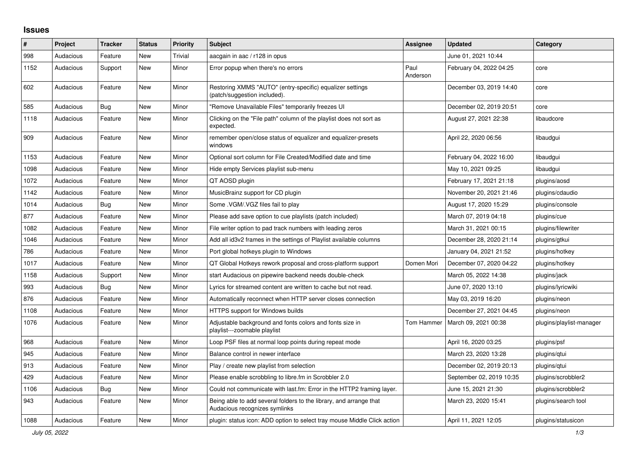## **Issues**

| $\#$ | Project   | <b>Tracker</b> | <b>Status</b> | <b>Priority</b> | <b>Subject</b>                                                                                      | Assignee         | <b>Updated</b>           | Category                 |
|------|-----------|----------------|---------------|-----------------|-----------------------------------------------------------------------------------------------------|------------------|--------------------------|--------------------------|
| 998  | Audacious | Feature        | New           | Trivial         | aacgain in aac / r128 in opus                                                                       |                  | June 01, 2021 10:44      |                          |
| 1152 | Audacious | Support        | New           | Minor           | Error popup when there's no errors                                                                  | Paul<br>Anderson | February 04, 2022 04:25  | core                     |
| 602  | Audacious | Feature        | New           | Minor           | Restoring XMMS "AUTO" (entry-specific) equalizer settings<br>(patch/suggestion included).           |                  | December 03, 2019 14:40  | core                     |
| 585  | Audacious | Bug            | New           | Minor           | "Remove Unavailable Files" temporarily freezes UI                                                   |                  | December 02, 2019 20:51  | core                     |
| 1118 | Audacious | Feature        | New           | Minor           | Clicking on the "File path" column of the playlist does not sort as<br>expected.                    |                  | August 27, 2021 22:38    | libaudcore               |
| 909  | Audacious | Feature        | New           | Minor           | remember open/close status of equalizer and equalizer-presets<br>windows                            |                  | April 22, 2020 06:56     | libaudgui                |
| 1153 | Audacious | Feature        | New           | Minor           | Optional sort column for File Created/Modified date and time                                        |                  | February 04, 2022 16:00  | libaudgui                |
| 1098 | Audacious | Feature        | New           | Minor           | Hide empty Services playlist sub-menu                                                               |                  | May 10, 2021 09:25       | libaudgui                |
| 1072 | Audacious | Feature        | New           | Minor           | QT AOSD plugin                                                                                      |                  | February 17, 2021 21:18  | plugins/aosd             |
| 1142 | Audacious | Feature        | <b>New</b>    | Minor           | MusicBrainz support for CD plugin                                                                   |                  | November 20, 2021 21:46  | plugins/cdaudio          |
| 1014 | Audacious | Bug            | New           | Minor           | Some .VGM/.VGZ files fail to play                                                                   |                  | August 17, 2020 15:29    | plugins/console          |
| 877  | Audacious | Feature        | New           | Minor           | Please add save option to cue playlists (patch included)                                            |                  | March 07, 2019 04:18     | plugins/cue              |
| 1082 | Audacious | Feature        | <b>New</b>    | Minor           | File writer option to pad track numbers with leading zeros                                          |                  | March 31, 2021 00:15     | plugins/filewriter       |
| 1046 | Audacious | Feature        | New           | Minor           | Add all id3v2 frames in the settings of Playlist available columns                                  |                  | December 28, 2020 21:14  | plugins/gtkui            |
| 786  | Audacious | Feature        | New           | Minor           | Port global hotkeys plugin to Windows                                                               |                  | January 04, 2021 21:52   | plugins/hotkey           |
| 1017 | Audacious | Feature        | <b>New</b>    | Minor           | QT Global Hotkeys rework proposal and cross-platform support                                        | Domen Mori       | December 07, 2020 04:22  | plugins/hotkey           |
| 1158 | Audacious | Support        | <b>New</b>    | Minor           | start Audacious on pipewire backend needs double-check                                              |                  | March 05, 2022 14:38     | plugins/jack             |
| 993  | Audacious | Bug            | New           | Minor           | Lyrics for streamed content are written to cache but not read.                                      |                  | June 07, 2020 13:10      | plugins/lyricwiki        |
| 876  | Audacious | Feature        | New           | Minor           | Automatically reconnect when HTTP server closes connection                                          |                  | May 03, 2019 16:20       | plugins/neon             |
| 1108 | Audacious | Feature        | New           | Minor           | HTTPS support for Windows builds                                                                    |                  | December 27, 2021 04:45  | plugins/neon             |
| 1076 | Audacious | Feature        | New           | Minor           | Adjustable background and fonts colors and fonts size in<br>playlist---zoomable playlist            | Tom Hammer       | March 09, 2021 00:38     | plugins/playlist-manager |
| 968  | Audacious | Feature        | <b>New</b>    | Minor           | Loop PSF files at normal loop points during repeat mode                                             |                  | April 16, 2020 03:25     | plugins/psf              |
| 945  | Audacious | Feature        | New           | Minor           | Balance control in newer interface                                                                  |                  | March 23, 2020 13:28     | plugins/qtui             |
| 913  | Audacious | Feature        | New           | Minor           | Play / create new playlist from selection                                                           |                  | December 02, 2019 20:13  | plugins/gtui             |
| 429  | Audacious | Feature        | New           | Minor           | Please enable scrobbling to libre.fm in Scrobbler 2.0                                               |                  | September 02, 2019 10:35 | plugins/scrobbler2       |
| 1106 | Audacious | Bug            | New           | Minor           | Could not communicate with last.fm: Error in the HTTP2 framing layer.                               |                  | June 15, 2021 21:30      | plugins/scrobbler2       |
| 943  | Audacious | Feature        | New           | Minor           | Being able to add several folders to the library, and arrange that<br>Audacious recognizes symlinks |                  | March 23, 2020 15:41     | plugins/search tool      |
| 1088 | Audacious | Feature        | New           | Minor           | plugin: status icon: ADD option to select tray mouse Middle Click action                            |                  | April 11, 2021 12:05     | plugins/statusicon       |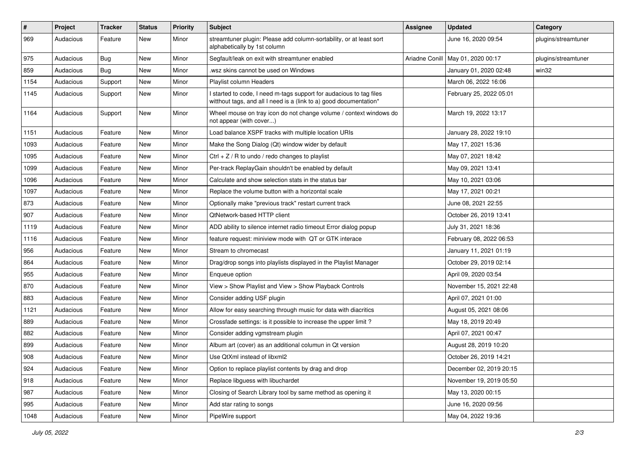| $\pmb{\#}$ | Project   | <b>Tracker</b> | <b>Status</b> | <b>Priority</b> | Subject                                                                                                                                   | <b>Assignee</b> | <b>Updated</b>          | Category            |
|------------|-----------|----------------|---------------|-----------------|-------------------------------------------------------------------------------------------------------------------------------------------|-----------------|-------------------------|---------------------|
| 969        | Audacious | Feature        | New           | Minor           | streamtuner plugin: Please add column-sortability, or at least sort<br>alphabetically by 1st column                                       |                 | June 16, 2020 09:54     | plugins/streamtuner |
| 975        | Audacious | Bug            | New           | Minor           | Segfault/leak on exit with streamtuner enabled                                                                                            | Ariadne Conill  | May 01, 2020 00:17      | plugins/streamtuner |
| 859        | Audacious | Bug            | New           | Minor           | wsz skins cannot be used on Windows.                                                                                                      |                 | January 01, 2020 02:48  | win32               |
| 1154       | Audacious | Support        | New           | Minor           | Playlist column Headers                                                                                                                   |                 | March 06, 2022 16:06    |                     |
| 1145       | Audacious | Support        | New           | Minor           | I started to code, I need m-tags support for audacious to tag files<br>witthout tags, and all I need is a (link to a) good documentation* |                 | February 25, 2022 05:01 |                     |
| 1164       | Audacious | Support        | New           | Minor           | Wheel mouse on tray icon do not change volume / context windows do<br>not appear (with cover)                                             |                 | March 19, 2022 13:17    |                     |
| 1151       | Audacious | Feature        | New           | Minor           | Load balance XSPF tracks with multiple location URIs                                                                                      |                 | January 28, 2022 19:10  |                     |
| 1093       | Audacious | Feature        | New           | Minor           | Make the Song Dialog (Qt) window wider by default                                                                                         |                 | May 17, 2021 15:36      |                     |
| 1095       | Audacious | Feature        | New           | Minor           | Ctrl + $Z$ / R to undo / redo changes to playlist                                                                                         |                 | May 07, 2021 18:42      |                     |
| 1099       | Audacious | Feature        | New           | Minor           | Per-track ReplayGain shouldn't be enabled by default                                                                                      |                 | May 09, 2021 13:41      |                     |
| 1096       | Audacious | Feature        | New           | Minor           | Calculate and show selection stats in the status bar                                                                                      |                 | May 10, 2021 03:06      |                     |
| 1097       | Audacious | Feature        | New           | Minor           | Replace the volume button with a horizontal scale                                                                                         |                 | May 17, 2021 00:21      |                     |
| 873        | Audacious | Feature        | New           | Minor           | Optionally make "previous track" restart current track                                                                                    |                 | June 08, 2021 22:55     |                     |
| 907        | Audacious | Feature        | New           | Minor           | QtNetwork-based HTTP client                                                                                                               |                 | October 26, 2019 13:41  |                     |
| 1119       | Audacious | Feature        | New           | Minor           | ADD ability to silence internet radio timeout Error dialog popup                                                                          |                 | July 31, 2021 18:36     |                     |
| 1116       | Audacious | Feature        | New           | Minor           | feature request: miniview mode with QT or GTK interace                                                                                    |                 | February 08, 2022 06:53 |                     |
| 956        | Audacious | Feature        | New           | Minor           | Stream to chromecast                                                                                                                      |                 | January 11, 2021 01:19  |                     |
| 864        | Audacious | Feature        | New           | Minor           | Drag/drop songs into playlists displayed in the Playlist Manager                                                                          |                 | October 29, 2019 02:14  |                     |
| 955        | Audacious | Feature        | New           | Minor           | Enqueue option                                                                                                                            |                 | April 09, 2020 03:54    |                     |
| 870        | Audacious | Feature        | New           | Minor           | View > Show Playlist and View > Show Playback Controls                                                                                    |                 | November 15, 2021 22:48 |                     |
| 883        | Audacious | Feature        | New           | Minor           | Consider adding USF plugin                                                                                                                |                 | April 07, 2021 01:00    |                     |
| 1121       | Audacious | Feature        | New           | Minor           | Allow for easy searching through music for data with diacritics                                                                           |                 | August 05, 2021 08:06   |                     |
| 889        | Audacious | Feature        | New           | Minor           | Crossfade settings: is it possible to increase the upper limit?                                                                           |                 | May 18, 2019 20:49      |                     |
| 882        | Audacious | Feature        | New           | Minor           | Consider adding vgmstream plugin                                                                                                          |                 | April 07, 2021 00:47    |                     |
| 899        | Audacious | Feature        | New           | Minor           | Album art (cover) as an additional columun in Qt version                                                                                  |                 | August 28, 2019 10:20   |                     |
| 908        | Audacious | Feature        | New           | Minor           | Use QtXml instead of libxml2                                                                                                              |                 | October 26, 2019 14:21  |                     |
| 924        | Audacious | Feature        | New           | Minor           | Option to replace playlist contents by drag and drop                                                                                      |                 | December 02, 2019 20:15 |                     |
| 918        | Audacious | Feature        | New           | Minor           | Replace libguess with libuchardet                                                                                                         |                 | November 19, 2019 05:50 |                     |
| 987        | Audacious | Feature        | New           | Minor           | Closing of Search Library tool by same method as opening it                                                                               |                 | May 13, 2020 00:15      |                     |
| 995        | Audacious | Feature        | New           | Minor           | Add star rating to songs                                                                                                                  |                 | June 16, 2020 09:56     |                     |
| 1048       | Audacious | Feature        | New           | Minor           | PipeWire support                                                                                                                          |                 | May 04, 2022 19:36      |                     |